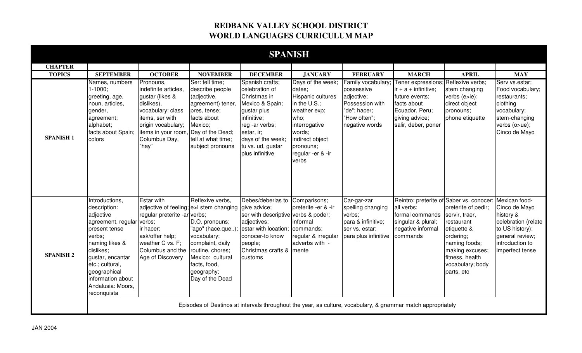## **REDBANK VALLEY SCHOOL DISTRICT WORLD LANGUAGES CURRICULUM MAP**

| <b>SPANISH</b>   |                                                                                                                                                                                                                                                    |                                                                                                                                                                                                           |                                                                                                                                                                 |                                                                                                                                                                                                 |                                                                                                                                                                                   |                                                                                                                     |                                                                                                                                                         |                                                                                                                                                                          |                                                                                                                                                |  |  |
|------------------|----------------------------------------------------------------------------------------------------------------------------------------------------------------------------------------------------------------------------------------------------|-----------------------------------------------------------------------------------------------------------------------------------------------------------------------------------------------------------|-----------------------------------------------------------------------------------------------------------------------------------------------------------------|-------------------------------------------------------------------------------------------------------------------------------------------------------------------------------------------------|-----------------------------------------------------------------------------------------------------------------------------------------------------------------------------------|---------------------------------------------------------------------------------------------------------------------|---------------------------------------------------------------------------------------------------------------------------------------------------------|--------------------------------------------------------------------------------------------------------------------------------------------------------------------------|------------------------------------------------------------------------------------------------------------------------------------------------|--|--|
| <b>CHAPTER</b>   |                                                                                                                                                                                                                                                    |                                                                                                                                                                                                           |                                                                                                                                                                 |                                                                                                                                                                                                 |                                                                                                                                                                                   |                                                                                                                     |                                                                                                                                                         |                                                                                                                                                                          |                                                                                                                                                |  |  |
| <b>TOPICS</b>    | <b>SEPTEMBER</b>                                                                                                                                                                                                                                   | <b>OCTOBER</b>                                                                                                                                                                                            | <b>NOVEMBER</b>                                                                                                                                                 | <b>DECEMBER</b>                                                                                                                                                                                 | <b>JANUARY</b>                                                                                                                                                                    | <b>FEBRUARY</b>                                                                                                     | <b>MARCH</b>                                                                                                                                            | <b>APRIL</b>                                                                                                                                                             | <b>MAY</b>                                                                                                                                     |  |  |
| <b>SPANISH1</b>  | Names, numbers<br>$1 - 1000$ ;<br>greeting, age,<br>noun, articles,<br>gender,<br>agreement;<br>alphabet;<br>facts about Spain;<br>colors                                                                                                          | Pronouns,<br>indefinite articles,<br>gustar (likes &<br>dislikes),<br>vocabulary: class<br>items, ser with<br>origin vocabulary;<br>items in your room, Day of the Dead;<br>Columbus Day,<br>"hay"        | Ser: tell time;<br>describe people<br>(adjective,<br>agreement) tener,<br>pres, tense;<br>facts about<br>Mexico;<br>tell at what time;<br>subject pronouns      | Spanish crafts;<br>celebration of<br>Christmas in<br>Mexico & Spain;<br>gustar plus<br>infinitive;<br>reg -ar verbs;<br>estar, ir;<br>days of the week;<br>tu vs. ud, gustar<br>plus infinitive | Days of the week;<br>dates;<br>Hispanic cultures<br>in the U.S.;<br>weather exp;<br>who;<br>interrogative<br>words;<br>indirect object<br>pronouns;<br>regular -er & -ir<br>verbs | Family vocabulary:<br>possessive<br>adjective;<br>Possession with<br>"de"; hacer;<br>"How often";<br>negative words | Tener expressions; Reflexive verbs;<br>$ir + a + infinite;$<br>future events;<br>facts about<br>Ecuador, Peru;<br>giving advice;<br>salir, deber, poner | stem changing<br>verbs (e>ie);<br>direct object<br>pronouns;<br>phone etiquette                                                                                          | Serv vs.estar;<br>Food vocabulary;<br>restaurants;<br>clothing<br>vocabulary;<br>stem-changing<br>verbs (o>ue);<br>Cinco de Mayo               |  |  |
| <b>SPANISH 2</b> | Introductions,<br>description:<br>adjective<br>agreement, regular verbs;<br>present tense<br>verbs:<br>naming likes &<br>dislikes;<br>gustar, encantar<br>etc.; cultural,<br>geographical<br>information about<br>Andalusia: Moors,<br>reconquista | <b>Estar with</b><br>adjective of feeling; e>I stem changing<br>regular preterite -ar verbs;<br>ir hacer;<br>ask/offer help;<br>weather C vs. F;<br>Columbus and the routine, chores;<br>Age of Discovery | Reflexive verbs,<br>D.O. pronouns;<br>"ago" (hace.que);<br>vocabulary:<br>complaint, daily<br>Mexico: cultural<br>facts, food,<br>geography;<br>Day of the Dead | Debes/deberias to<br>give advice;<br>ser with descriptive verbs & poder;<br>adjectives;<br>estar with location;<br>conocer-to know<br>people;<br>Christmas crafts & mente<br>customs            | Comparisons;<br>preterite -er & -ir<br>informal<br>commands;<br>regular & irregular<br>adverbs with -                                                                             | Car-gar-zar<br>spelling changing<br>verbs;<br>para & infinitive;<br>ser vs. estar;<br>para plus infinitive          | Reintro: preterite of Saber vs. conocer;<br>all verbs;<br>formal commands<br>singular & plural;<br>negative informal<br>commands                        | preterite of pedir;<br>servir, traer,<br>restaurant<br>etiquette &<br>ordering;<br>naming foods;<br>making excuses;<br>fitness, health<br>vocabulary; body<br>parts, etc | Mexican food-<br>Cinco de Mayo<br>history &<br>celebration (relate<br>to US history);<br>general review;<br>introduction to<br>imperfect tense |  |  |
|                  | Episodes of Destinos at intervals throughout the year, as culture, vocabulary, & grammar match appropriately                                                                                                                                       |                                                                                                                                                                                                           |                                                                                                                                                                 |                                                                                                                                                                                                 |                                                                                                                                                                                   |                                                                                                                     |                                                                                                                                                         |                                                                                                                                                                          |                                                                                                                                                |  |  |